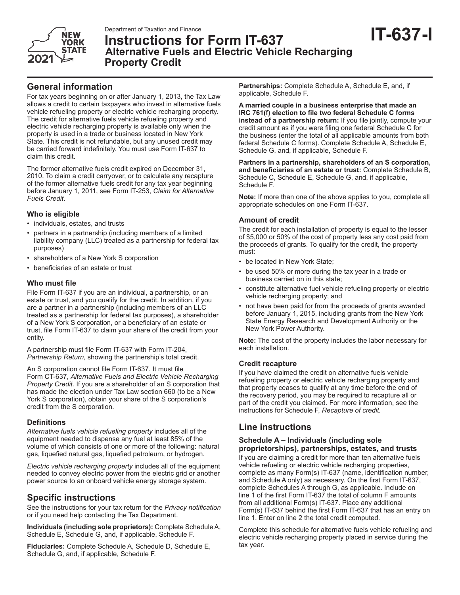



# **IT-637-I** Department of Taxation and Finance **Instructions for Form IT-637 Alternative Fuels and Electric Vehicle Recharging Property Credit**

## **General information**

For tax years beginning on or after January 1, 2013, the Tax Law allows a credit to certain taxpayers who invest in alternative fuels vehicle refueling property or electric vehicle recharging property. The credit for alternative fuels vehicle refueling property and electric vehicle recharging property is available only when the property is used in a trade or business located in New York State. This credit is not refundable, but any unused credit may be carried forward indefinitely. You must use Form IT-637 to claim this credit.

The former alternative fuels credit expired on December 31, 2010. To claim a credit carryover, or to calculate any recapture of the former alternative fuels credit for any tax year beginning before January 1, 2011, see Form IT-253, *Claim for Alternative Fuels Credit*.

## **Who is eligible**

- individuals, estates, and trusts
- partners in a partnership (including members of a limited liability company (LLC) treated as a partnership for federal tax purposes)
- shareholders of a New York S corporation
- beneficiaries of an estate or trust

#### **Who must file**

File Form IT-637 if you are an individual, a partnership, or an estate or trust, and you qualify for the credit. In addition, if you are a partner in a partnership (including members of an LLC treated as a partnership for federal tax purposes), a shareholder of a New York S corporation, or a beneficiary of an estate or trust, file Form IT-637 to claim your share of the credit from your entity.

A partnership must file Form IT-637 with Form IT-204, *Partnership Return*, showing the partnership's total credit.

An S corporation cannot file Form IT-637. It must file Form CT-637, *Alternative Fuels and Electric Vehicle Recharging Property Credit.* If you are a shareholder of an S corporation that has made the election under Tax Law section 660 (to be a New York S corporation), obtain your share of the S corporation's credit from the S corporation.

#### **Definitions**

*Alternative fuels vehicle refueling property* includes all of the equipment needed to dispense any fuel at least 85% of the volume of which consists of one or more of the following: natural gas, liquefied natural gas, liquefied petroleum, or hydrogen.

*Electric vehicle recharging property* includes all of the equipment needed to convey electric power from the electric grid or another power source to an onboard vehicle energy storage system.

## **Specific instructions**

See the instructions for your tax return for the *Privacy notification* or if you need help contacting the Tax Department.

**Individuals (including sole proprietors):** Complete Schedule A, Schedule E, Schedule G, and, if applicable, Schedule F.

**Fiduciaries:** Complete Schedule A, Schedule D, Schedule E, Schedule G, and, if applicable, Schedule F.

**Partnerships:** Complete Schedule A, Schedule E, and, if applicable, Schedule F.

**A married couple in a business enterprise that made an IRC 761(f) election to file two federal Schedule C forms instead of a partnership return:** If you file jointly, compute your credit amount as if you were filing one federal Schedule C for the business (enter the total of all applicable amounts from both federal Schedule C forms). Complete Schedule A, Schedule E, Schedule G, and, if applicable, Schedule F.

**Partners in a partnership, shareholders of an S corporation, and beneficiaries of an estate or trust:** Complete Schedule B, Schedule C, Schedule E, Schedule G, and, if applicable, Schedule F.

**Note:** If more than one of the above applies to you, complete all appropriate schedules on one Form IT-637.

### **Amount of credit**

The credit for each installation of property is equal to the lesser of \$5,000 or 50% of the cost of property less any cost paid from the proceeds of grants. To qualify for the credit, the property must:

- be located in New York State;
- be used 50% or more during the tax year in a trade or business carried on in this state;
- constitute alternative fuel vehicle refueling property or electric vehicle recharging property; and
- not have been paid for from the proceeds of grants awarded before January 1, 2015, including grants from the New York State Energy Research and Development Authority or the New York Power Authority.

**Note:** The cost of the property includes the labor necessary for each installation.

## **Credit recapture**

If you have claimed the credit on alternative fuels vehicle refueling property or electric vehicle recharging property and that property ceases to qualify at any time before the end of the recovery period, you may be required to recapture all or part of the credit you claimed. For more information, see the instructions for Schedule F, *Recapture of credit.*

## **Line instructions**

#### **Schedule A – Individuals (including sole proprietorships), partnerships, estates, and trusts**

If you are claiming a credit for more than ten alternative fuels vehicle refueling or electric vehicle recharging properties, complete as many Form(s) IT-637 (name, identification number, and Schedule A only) as necessary. On the first Form IT-637, complete Schedules A through G, as applicable. Include on line 1 of the first Form IT-637 the total of column F amounts from all additional Form(s) IT-637. Place any additional Form(s) IT-637 behind the first Form IT-637 that has an entry on line 1. Enter on line 2 the total credit computed.

Complete this schedule for alternative fuels vehicle refueling and electric vehicle recharging property placed in service during the tax year.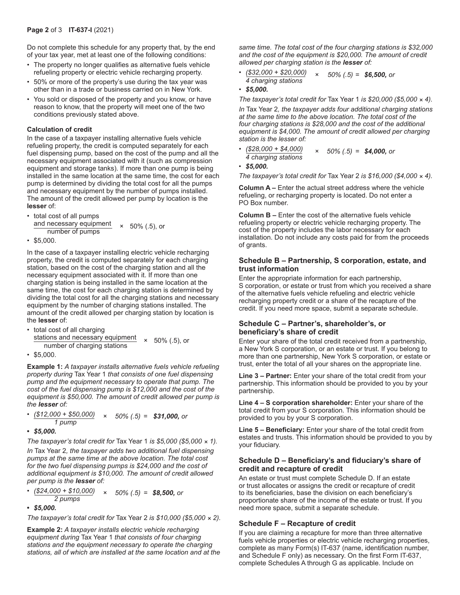Do not complete this schedule for any property that, by the end of your tax year, met at least one of the following conditions:

- The property no longer qualifies as alternative fuels vehicle refueling property or electric vehicle recharging property.
- 50% or more of the property's use during the tax year was other than in a trade or business carried on in New York.
- You sold or disposed of the property and you know, or have reason to know, that the property will meet one of the two conditions previously stated above.

#### **Calculation of credit**

In the case of a taxpayer installing alternative fuels vehicle refueling property, the credit is computed separately for each fuel dispensing pump, based on the cost of the pump and all the necessary equipment associated with it (such as compression equipment and storage tanks). If more than one pump is being installed in the same location at the same time, the cost for each pump is determined by dividing the total cost for all the pumps and necessary equipment by the number of pumps installed. The amount of the credit allowed per pump by location is the **lesser** of:

• total cost of all pumps

and necessary equipment  $\times$  50% (.5), or<br>number of pumps

• \$5,000.

In the case of a taxpayer installing electric vehicle recharging property, the credit is computed separately for each charging station, based on the cost of the charging station and all the necessary equipment associated with it. If more than one charging station is being installed in the same location at the same time, the cost for each charging station is determined by dividing the total cost for all the charging stations and necessary equipment by the number of charging stations installed. The amount of the credit allowed per charging station by location is the **lesser** of:

- total cost of all charging stations and necessary equipment *<sup>×</sup>* 50% (.5), or number of charging stations
- \$5,000.

**Example 1:** *A taxpayer installs alternative fuels vehicle refueling property during* Tax Year 1 *that consists of one fuel dispensing pump and the equipment necessary to operate that pump. The cost of the fuel dispensing pump is \$12,000 and the cost of the equipment is \$50,000. The amount of credit allowed per pump is the lesser of:*

- *(\$12,000 + \$50,000) × 50% (.5) = \$31,000, or 1 pump*
- *\$5,000.*

*The taxpayer's total credit for* Tax Year 1 *is \$5,000 (\$5,000 × 1).*

*In* Tax Year 2*, the taxpayer adds two additional fuel dispensing pumps at the same time at the above location. The total cost for the two fuel dispensing pumps is \$24,000 and the cost of additional equipment is \$10,000. The amount of credit allowed per pump is the lesser of:*

*• (\$24,000 + \$10,000) <sup>×</sup> 50% (.5) = \$8,500, or 2 pumps*

**•** *\$5,000.*

*The taxpayer's total credit for* Tax Year 2 *is \$10,000 (\$5,000 × 2).*

**Example 2:** *A taxpayer installs electric vehicle recharging equipment during* Tax Year 1 *that consists of four charging stations and the equipment necessary to operate the charging stations, all of which are installed at the same location and at the* 

*same time. The total cost of the four charging stations is \$32,000 and the cost of the equipment is \$20,000. The amount of credit allowed per charging station is the lesser of:*

*• (\$32,000 + \$20,000) × 50% (.5) = \$6,500, or 4 charging stations*

```
• $5,000.
```
*The taxpayer's total credit for* Tax Year 1 *is \$20,000 (\$5,000 × 4).*

*In* Tax Year 2*, the taxpayer adds four additional charging stations at the same time to the above location. The total cost of the four charging stations is \$28,000 and the cost of the additional equipment is \$4,000. The amount of credit allowed per charging station is the lesser of:*

*• (\$28,000 + \$4,000) × 50% (.5) = \$4,000, or 4 charging stations*

```
• $5,000.
```
*The taxpayer's total credit for* Tax Year 2 *is \$16,000 (\$4,000 × 4).*

**Column A –** Enter the actual street address where the vehicle refueling, or recharging property is located. Do not enter a PO Box number.

**Column B –** Enter the cost of the alternative fuels vehicle refueling property or electric vehicle recharging property. The cost of the property includes the labor necessary for each installation. Do not include any costs paid for from the proceeds of grants.

#### **Schedule B – Partnership, S corporation, estate, and trust information**

Enter the appropriate information for each partnership, S corporation, or estate or trust from which you received a share of the alternative fuels vehicle refueling and electric vehicle recharging property credit or a share of the recapture of the credit. If you need more space, submit a separate schedule.

#### **Schedule C – Partner's, shareholder's, or beneficiary's share of credit**

Enter your share of the total credit received from a partnership, a New York S corporation, or an estate or trust. If you belong to more than one partnership, New York S corporation, or estate or trust, enter the total of all your shares on the appropriate line.

**Line 3 – Partner:** Enter your share of the total credit from your partnership. This information should be provided to you by your partnership.

**Line 4 – S corporation shareholder:** Enter your share of the total credit from your S corporation. This information should be provided to you by your S corporation.

**Line 5 – Beneficiary:** Enter your share of the total credit from estates and trusts. This information should be provided to you by your fiduciary.

#### **Schedule D – Beneficiary's and fiduciary's share of credit and recapture of credit**

An estate or trust must complete Schedule D. If an estate or trust allocates or assigns the credit or recapture of credit to its beneficiaries, base the division on each beneficiary's proportionate share of the income of the estate or trust. If you need more space, submit a separate schedule.

#### **Schedule F – Recapture of credit**

If you are claiming a recapture for more than three alternative fuels vehicle properties or electric vehicle recharging properties, complete as many Form(s) IT-637 (name, identification number, and Schedule F only) as necessary. On the first Form IT-637, complete Schedules A through G as applicable. Include on